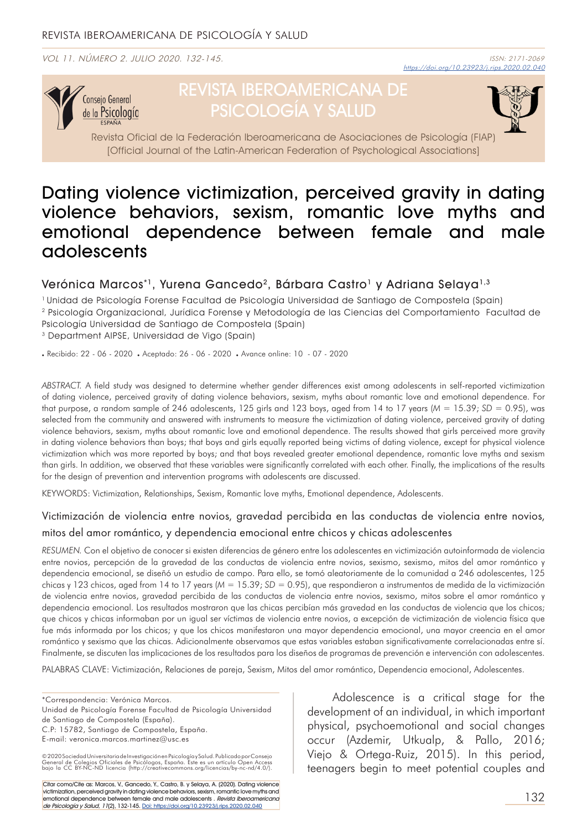VOL 11. NÚMERO 2. JULIO 2020. 132-145.



# REVISTA IBEROAMERICANA DE PSICOLOGÍA Y SALUD



Revista Oficial de la Federación Iberoamericana de Asociaciones de Psicología (FIAP) [Official Journal of the Latin-American Federation of Psychological Associations]

## Dating violence victimization, perceived gravity in dating violence behaviors, sexism, romantic love myths and emotional dependence between female and male adolescents

### Verónica Marcos<sup>\*1</sup>, Yurena Gancedo<sup>2</sup>, Bárbara Castro<sup>1</sup> y Adriana Selaya<sup>1,3</sup>

1 Unidad de Psicología Forense Facultad de Psicología Universidad de Santiago de Compostela (Spain) 2 Psicología Organizacional, Jurídica Forense y Metodología de las Ciencias del Comportamiento Facultad de Psicología Universidad de Santiago de Compostela (Spain)

3 Department AIPSE, Universidad de Vigo (Spain)

. Recibido: 22 - 06 - 2020 . Aceptado: 26 - 06 - 2020 . Avance online: 10 - 07 - 2020

*ABSTRACT.* A field study was designed to determine whether gender differences exist among adolescents in self-reported victimization of dating violence, perceived gravity of dating violence behaviors, sexism, myths about romantic love and emotional dependence. For that purpose, a random sample of 246 adolescents, 125 girls and 123 boys, aged from 14 to 17 years (*M* = 15.39; *SD* = 0.95), was selected from the community and answered with instruments to measure the victimization of dating violence, perceived gravity of dating violence behaviors, sexism, myths about romantic love and emotional dependence. The results showed that girls perceived more gravity in dating violence behaviors than boys; that boys and girls equally reported being victims of dating violence, except for physical violence victimization which was more reported by boys; and that boys revealed greater emotional dependence, romantic love myths and sexism than girls. In addition, we observed that these variables were significantly correlated with each other. Finally, the implications of the results for the design of prevention and intervention programs with adolescents are discussed.

KEYWORDS: Victimization, Relationships, Sexism, Romantic love myths, Emotional dependence, Adolescents.

#### Victimización de violencia entre novios, gravedad percibida en las conductas de violencia entre novios, mitos del amor romántico, y dependencia emocional entre chicos y chicas adolescentes

*RESUMEN.* Con el objetivo de conocer si existen diferencias de género entre los adolescentes en victimización autoinformada de violencia entre novios, percepción de la gravedad de las conductas de violencia entre novios, sexismo, sexismo, mitos del amor romántico y dependencia emocional, se diseñó un estudio de campo. Para ello, se tomó aleatoriamente de la comunidad a 246 adolescentes, 125 chicas y 123 chicos, aged from 14 to 17 years (*M* = 15.39; *SD* = 0.95), que respondieron a instrumentos de medida de la victimización de violencia entre novios, gravedad percibida de las conductas de violencia entre novios, sexismo, mitos sobre el amor romántico y dependencia emocional. Los resultados mostraron que las chicas percibían más gravedad en las conductas de violencia que los chicos; que chicos y chicas informaban por un igual ser víctimas de violencia entre novios, a excepción de victimización de violencia física que fue más informada por los chicos; y que los chicos manifestaron una mayor dependencia emocional, una mayor creencia en el amor romántico y sexismo que las chicas. Adicionalmente observamos que estas variables estaban significativamente correlacionadas entre sí. Finalmente, se discuten las implicaciones de los resultados para los diseños de programas de prevención e intervención con adolescentes.

PALABRAS CLAVE: Victimización, Relaciones de pareja, Sexism, Mitos del amor romántico, Dependencia emocional, Adolescentes.

\*Correspondencia: Verónica Marcos. Unidad de Psicología Forense Facultad de Psicología Universidad de Santiago de Compostela (España).

C.P: 15782, Santiago de Compostela, España.

E-mail: veronica.marcos.martinez@usc.es

Citar como/Cite as: Marcos, V., Gancedo, Y., Castro, B. y Selaya, A. (2020). Dating violence victimization, perceived gravity in dating violence behaviors, sexism, romantic love myths and emotional dependence between female and male adolescents . Revista Iberoamericana de Psicología y Salud, 11(2), 132-145. Doi: https://doi.org/10.23923/j.rips.2020.02.040

Adolescence is a critical stage for the development of an individual, in which important physical, psychoemotional and social changes occur (Azdemir, Utkualp, & Pallo, 2016; Viejo & Ortega-Ruiz, 2015). In this period, teenagers begin to meet potential couples and

<sup>© 2020</sup> Sociedad Universitaria de Investigación en Psicología y Salud, Publicado por Consejo<br>General de Colegios Oficiales de Psicólogos, España. Este es un artículo Open Access<br>bajo la CC BY-NC-ND licencia (http://creative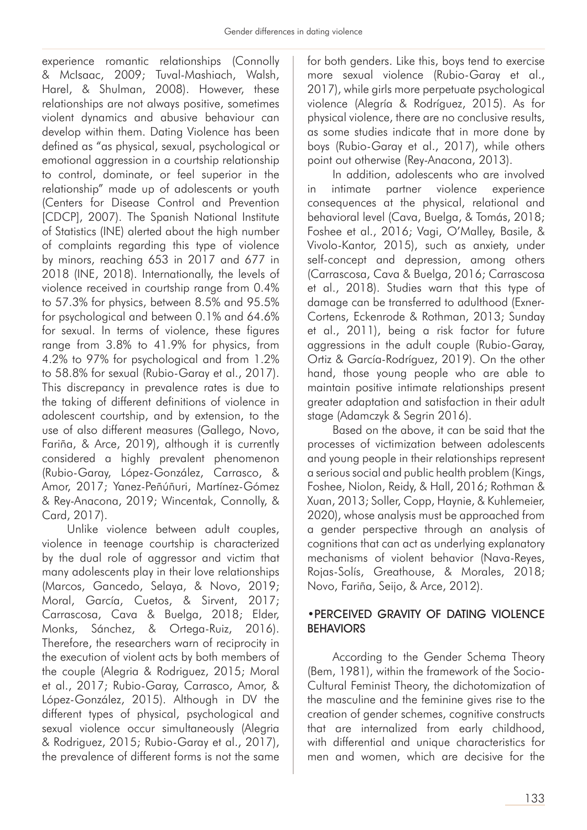experience romantic relationships (Connolly & McIsaac, 2009; Tuval-Mashiach, Walsh, Harel, & Shulman, 2008). However, these relationships are not always positive, sometimes violent dynamics and abusive behaviour can develop within them. Dating Violence has been defined as "as physical, sexual, psychological or emotional aggression in a courtship relationship to control, dominate, or feel superior in the relationship" made up of adolescents or youth (Centers for Disease Control and Prevention [CDCP], 2007). The Spanish National Institute of Statistics (INE) alerted about the high number of complaints regarding this type of violence by minors, reaching 653 in 2017 and 677 in 2018 (INE, 2018). Internationally, the levels of violence received in courtship range from 0.4% to 57.3% for physics, between 8.5% and 95.5% for psychological and between 0.1% and 64.6% for sexual. In terms of violence, these figures range from 3.8% to 41.9% for physics, from 4.2% to 97% for psychological and from 1.2% to 58.8% for sexual (Rubio-Garay et al., 2017). This discrepancy in prevalence rates is due to the taking of different definitions of violence in adolescent courtship, and by extension, to the use of also different measures (Gallego, Novo, Fariña, & Arce, 2019), although it is currently considered a highly prevalent phenomenon (Rubio-Garay, López-González, Carrasco, & Amor, 2017; Yanez-Peñúñuri, Martínez-Gómez & Rey-Anacona, 2019; Wincentak, Connolly, & Card, 2017).

Unlike violence between adult couples, violence in teenage courtship is characterized by the dual role of aggressor and victim that many adolescents play in their love relationships (Marcos, Gancedo, Selaya, & Novo, 2019; Moral, García, Cuetos, & Sirvent, 2017; Carrascosa, Cava & Buelga, 2018; Elder, Monks, Sánchez, & Ortega-Ruiz, 2016). Therefore, the researchers warn of reciprocity in the execution of violent acts by both members of the couple (Alegria & Rodriguez, 2015; Moral et al., 2017; Rubio-Garay, Carrasco, Amor, & López-González, 2015). Although in DV the different types of physical, psychological and sexual violence occur simultaneously (Alegria & Rodriguez, 2015; Rubio-Garay et al., 2017), the prevalence of different forms is not the same

for both genders. Like this, boys tend to exercise more sexual violence (Rubio-Garay et al., 2017), while girls more perpetuate psychological violence (Alegría & Rodríguez, 2015). As for physical violence, there are no conclusive results, as some studies indicate that in more done by boys (Rubio-Garay et al., 2017), while others point out otherwise (Rey-Anacona, 2013).

In addition, adolescents who are involved in intimate partner violence experience consequences at the physical, relational and behavioral level (Cava, Buelga, & Tomás, 2018; Foshee et al., 2016; Vagi, O'Malley, Basile, & Vivolo-Kantor, 2015), such as anxiety, under self-concept and depression, among others (Carrascosa, Cava & Buelga, 2016; Carrascosa et al., 2018). Studies warn that this type of damage can be transferred to adulthood (Exner-Cortens, Eckenrode & Rothman, 2013; Sunday et al., 2011), being a risk factor for future aggressions in the adult couple (Rubio-Garay, Ortiz & García-Rodríguez, 2019). On the other hand, those young people who are able to maintain positive intimate relationships present greater adaptation and satisfaction in their adult stage (Adamczyk & Segrin 2016).

Based on the above, it can be said that the processes of victimization between adolescents and young people in their relationships represent a serious social and public health problem (Kings, Foshee, Niolon, Reidy, & Hall, 2016; Rothman & Xuan, 2013; Soller, Copp, Haynie, & Kuhlemeier, 2020), whose analysis must be approached from a gender perspective through an analysis of cognitions that can act as underlying explanatory mechanisms of violent behavior (Nava-Reyes, Rojas-Solís, Greathouse, & Morales, 2018; Novo, Fariña, Seijo, & Arce, 2012).

#### •PERCEIVED GRAVITY OF DATING VIOLENCE BEHAVIORS

According to the Gender Schema Theory (Bem, 1981), within the framework of the Socio-Cultural Feminist Theory, the dichotomization of the masculine and the feminine gives rise to the creation of gender schemes, cognitive constructs that are internalized from early childhood, with differential and unique characteristics for men and women, which are decisive for the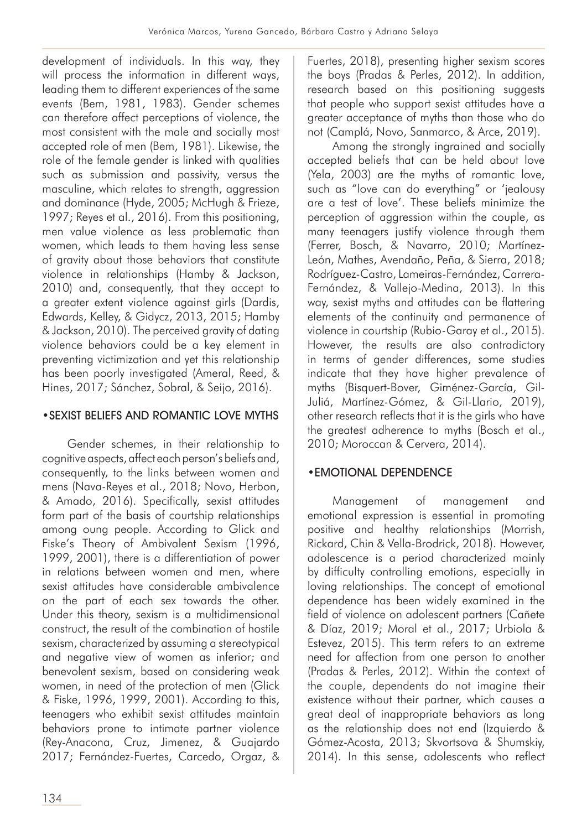development of individuals. In this way, they will process the information in different ways, leading them to different experiences of the same events (Bem, 1981, 1983). Gender schemes can therefore affect perceptions of violence, the most consistent with the male and socially most accepted role of men (Bem, 1981). Likewise, the role of the female gender is linked with qualities such as submission and passivity, versus the masculine, which relates to strength, aggression and dominance (Hyde, 2005; McHugh & Frieze, 1997; Reyes et al., 2016). From this positioning, men value violence as less problematic than women, which leads to them having less sense of gravity about those behaviors that constitute violence in relationships (Hamby & Jackson, 2010) and, consequently, that they accept to a greater extent violence against girls (Dardis, Edwards, Kelley, & Gidycz, 2013, 2015; Hamby & Jackson, 2010). The perceived gravity of dating violence behaviors could be a key element in preventing victimization and yet this relationship has been poorly investigated (Ameral, Reed, & Hines, 2017; Sánchez, Sobral, & Seijo, 2016).

## •SEXIST BELIEFS AND ROMANTIC LOVE MYTHS

Gender schemes, in their relationship to cognitive aspects, affect each person's beliefs and, consequently, to the links between women and mens (Nava-Reyes et al., 2018; Novo, Herbon, & Amado, 2016). Specifically, sexist attitudes form part of the basis of courtship relationships among oung people. According to Glick and Fiske's Theory of Ambivalent Sexism (1996, 1999, 2001), there is a differentiation of power in relations between women and men, where sexist attitudes have considerable ambivalence on the part of each sex towards the other. Under this theory, sexism is a multidimensional construct, the result of the combination of hostile sexism, characterized by assuming a stereotypical and negative view of women as inferior; and benevolent sexism, based on considering weak women, in need of the protection of men (Glick & Fiske, 1996, 1999, 2001). According to this, teenagers who exhibit sexist attitudes maintain behaviors prone to intimate partner violence (Rey-Anacona, Cruz, Jimenez, & Guajardo 2017; Fernández-Fuertes, Carcedo, Orgaz, &

Fuertes, 2018), presenting higher sexism scores the boys (Pradas & Perles, 2012). In addition, research based on this positioning suggests that people who support sexist attitudes have a greater acceptance of myths than those who do not (Camplá, Novo, Sanmarco, & Arce, 2019).

Among the strongly ingrained and socially accepted beliefs that can be held about love (Yela, 2003) are the myths of romantic love, such as "love can do everything" or 'jealousy are a test of love'. These beliefs minimize the perception of aggression within the couple, as many teenagers justify violence through them (Ferrer, Bosch, & Navarro, 2010; Martínez-León, Mathes, Avendaño, Peña, & Sierra, 2018; Rodríguez-Castro, Lameiras-Fernández, Carrera-Fernández, & Vallejo-Medina, 2013). In this way, sexist myths and attitudes can be flattering elements of the continuity and permanence of violence in courtship (Rubio-Garay et al., 2015). However, the results are also contradictory in terms of gender differences, some studies indicate that they have higher prevalence of myths (Bisquert-Bover, Giménez-García, Gil-Juliá, Martínez-Gómez, & Gil-Llario, 2019), other research reflects that it is the girls who have the greatest adherence to myths (Bosch et al., 2010; Moroccan & Cervera, 2014).

## •EMOTIONAL DEPENDENCE

Management of management and emotional expression is essential in promoting positive and healthy relationships (Morrish, Rickard, Chin & Vella-Brodrick, 2018). However, adolescence is a period characterized mainly by difficulty controlling emotions, especially in loving relationships. The concept of emotional dependence has been widely examined in the field of violence on adolescent partners (Cañete & Díaz, 2019; Moral et al., 2017; Urbiola & Estevez, 2015). This term refers to an extreme need for affection from one person to another (Pradas & Perles, 2012). Within the context of the couple, dependents do not imagine their existence without their partner, which causes a great deal of inappropriate behaviors as long as the relationship does not end (Izquierdo & Gómez-Acosta, 2013; Skvortsova & Shumskiy, 2014). In this sense, adolescents who reflect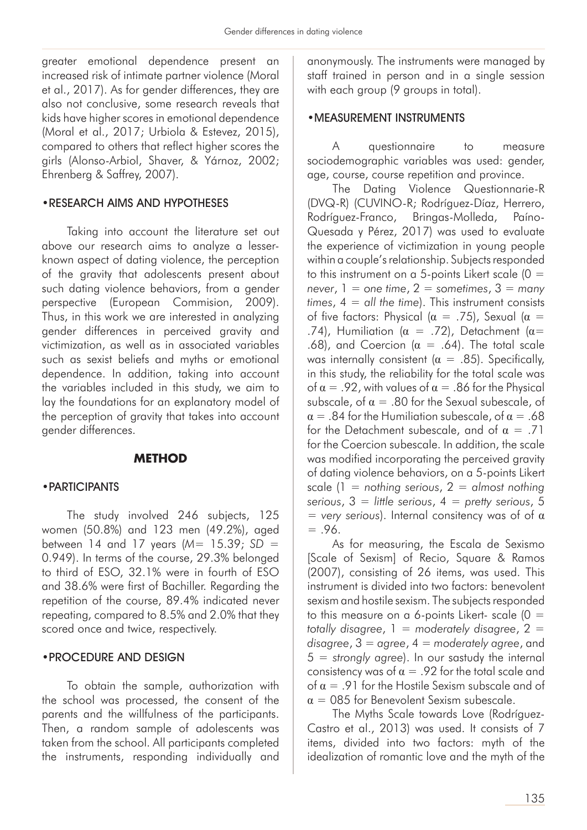greater emotional dependence present an increased risk of intimate partner violence (Moral et al., 2017). As for gender differences, they are also not conclusive, some research reveals that kids have higher scores in emotional dependence (Moral et al., 2017; Urbiola & Estevez, 2015), compared to others that reflect higher scores the girls (Alonso-Arbiol, Shaver, & Yárnoz, 2002; Ehrenberg & Saffrey, 2007).

#### •RESEARCH AIMS AND HYPOTHESES

Taking into account the literature set out above our research aims to analyze a lesserknown aspect of dating violence, the perception of the gravity that adolescents present about such dating violence behaviors, from a gender perspective (European Commision, 2009). Thus, in this work we are interested in analyzing gender differences in perceived gravity and victimization, as well as in associated variables such as sexist beliefs and myths or emotional dependence. In addition, taking into account the variables included in this study, we aim to lay the foundations for an explanatory model of the perception of gravity that takes into account gender differences.

#### **METHOD**

#### •PARTICIPANTS

The study involved 246 subjects, 125 women (50.8%) and 123 men (49.2%), aged between 14 and 17 years (*M*= 15.39; *SD* = 0.949). In terms of the course, 29.3% belonged to third of ESO, 32.1% were in fourth of ESO and 38.6% were first of Bachiller. Regarding the repetition of the course, 89.4% indicated never repeating, compared to 8.5% and 2.0% that they scored once and twice, respectively.

#### •PROCEDURE AND DESIGN

To obtain the sample, authorization with the school was processed, the consent of the parents and the willfulness of the participants. Then, a random sample of adolescents was taken from the school. All participants completed the instruments, responding individually and

anonymously. The instruments were managed by staff trained in person and in a single session with each group (9 groups in total).

#### •MEASUREMENT INSTRUMENTS

A questionnaire to measure sociodemographic variables was used: gender, age, course, course repetition and province.

The Dating Violence Questionnarie-R (DVQ-R) (CUVINO-R; Rodríguez-Díaz, Herrero, Rodríguez-Franco, Bringas-Molleda, Paíno-Quesada y Pérez, 2017) was used to evaluate the experience of victimization in young people within a couple's relationship. Subjects responded to this instrument on a 5-points Likert scale  $(0 =$  $never, 1 = one time, 2 = sometimes, 3 = many$ *times*, 4 = *all the time*). This instrument consists of five factors: Physical ( $\alpha = .75$ ), Sexual ( $\alpha =$ .74), Humiliation ( $\alpha = .72$ ), Detachment ( $\alpha =$ .68), and Coercion ( $\alpha = .64$ ). The total scale was internally consistent ( $\alpha = .85$ ). Specifically, in this study, the reliability for the total scale was of  $\alpha = .92$ , with values of  $\alpha = .86$  for the Physical subscale, of  $\alpha = 0.80$  for the Sexual subescale, of  $\alpha = 0.84$  for the Humiliation subescale, of  $\alpha = 0.68$ for the Detachment subescale, and of  $\alpha = .71$ for the Coercion subescale. In addition, the scale was modified incorporating the perceived gravity of dating violence behaviors, on a 5-points Likert scale (1 = *nothing serious*, 2 = *almost nothing serious*, 3 = *little serious*, 4 = *pretty serious*, 5 = *very serious*). Internal consitency was of of α  $= .96.$ 

As for measuring, the Escala de Sexismo [Scale of Sexism] of Recio, Square & Ramos (2007), consisting of 26 items, was used. This instrument is divided into two factors: benevolent sexism and hostile sexism. The subjects responded to this measure on a 6-points Likert- scale  $(0 =$ *totally disagree*, 1 = *moderately disagree*, 2 = *disagree*, 3 = *agree*, 4 = *moderately agree*, and 5 = *strongly agree*). In our sastudy the internal consistency was of  $\alpha = .92$  for the total scale and of  $\alpha = 91$  for the Hostile Sexism subscale and of  $\alpha = 085$  for Benevolent Sexism subescale.

The Myths Scale towards Love (Rodríguez-Castro et al., 2013) was used. It consists of 7 items, divided into two factors: myth of the idealization of romantic love and the myth of the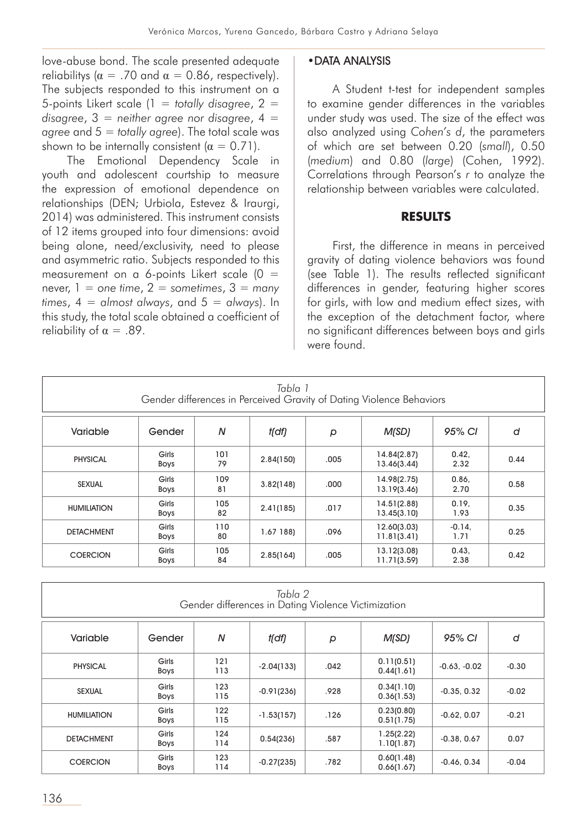love-abuse bond. The scale presented adequate reliabilitys ( $\alpha = .70$  and  $\alpha = 0.86$ , respectively). The subjects responded to this instrument on a 5-points Likert scale (1 = *totally disagree*, 2 = *disagree*, 3 = *neither agree nor disagree*, 4 = *agree* and 5 = *totally agree*). The total scale was shown to be internally consistent ( $\alpha = 0.71$ ).

The Emotional Dependency Scale in youth and adolescent courtship to measure the expression of emotional dependence on relationships (DEN; Urbiola, Estevez & Iraurgi, 2014) was administered. This instrument consists of 12 items grouped into four dimensions: avoid being alone, need/exclusivity, need to please and asymmetric ratio. Subjects responded to this measurement on a 6-points Likert scale  $(0 =$ never,  $1 =$  one time,  $2 =$  sometimes,  $3 =$  many *times*, 4 = *almost always*, and 5 = *always*). In this study, the total scale obtained a coefficient of reliability of  $\alpha = .89$ .

#### •DATA ANALYSIS

A Student t-test for independent samples to examine gender differences in the variables under study was used. The size of the effect was also analyzed using *Cohen's d*, the parameters of which are set between 0.20 (*small*), 0.50 (*medium*) and 0.80 (*large*) (Cohen, 1992). Correlations through Pearson's *r* to analyze the relationship between variables were calculated.

#### **RESULTS**

First, the difference in means in perceived gravity of dating violence behaviors was found (see Table 1). The results reflected significant differences in gender, featuring higher scores for girls, with low and medium effect sizes, with the exception of the detachment factor, where no significant differences between boys and girls were found.

| Tabla 1<br>Gender differences in Perceived Gravity of Dating Violence Behaviors |                                                   |           |             |      |                            |                  |      |  |  |  |  |  |
|---------------------------------------------------------------------------------|---------------------------------------------------|-----------|-------------|------|----------------------------|------------------|------|--|--|--|--|--|
| Variable                                                                        | N<br>95% CI<br>M(SD)<br>t(df)<br>d<br>Gender<br>p |           |             |      |                            |                  |      |  |  |  |  |  |
| <b>PHYSICAL</b>                                                                 | Girls<br><b>Boys</b>                              | 101<br>79 | 2.84(150)   | .005 | 14.84(2.87)<br>13.46(3.44) | 0.42,<br>2.32    | 0.44 |  |  |  |  |  |
| <b>SEXUAL</b>                                                                   | Girls<br><b>Boys</b>                              | 109<br>81 | 3.82(148)   | .000 | 14.98(2.75)<br>13.19(3.46) | 0.86.<br>2.70    | 0.58 |  |  |  |  |  |
| <b>HUMILIATION</b>                                                              | Girls<br><b>Boys</b>                              | 105<br>82 | 2.41(185)   | .017 | 14.51(2.88)<br>13.45(3.10) | 0.19,<br>1.93    | 0.35 |  |  |  |  |  |
| <b>DETACHMENT</b>                                                               | Girls<br><b>Boys</b>                              | 110<br>80 | $1.67$ 188) | .096 | 12.60(3.03)<br>11.81(3.41) | $-0.14.$<br>1.71 | 0.25 |  |  |  |  |  |
| <b>COERCION</b>                                                                 | Girls<br>Boys                                     | 105<br>84 | 2.85(164)   | .005 | 13.12(3.08)<br>11.71(3.59) | 0.43.<br>2.38    | 0.42 |  |  |  |  |  |

| Tabla 2<br>Gender differences in Dating Violence Victimization |                                                   |            |              |      |                          |                |         |  |  |  |  |
|----------------------------------------------------------------|---------------------------------------------------|------------|--------------|------|--------------------------|----------------|---------|--|--|--|--|
| Variable                                                       | 95% CI<br>N<br>M(SD)<br>t(df)<br>d<br>Gender<br>p |            |              |      |                          |                |         |  |  |  |  |
| <b>PHYSICAL</b>                                                | Girls<br><b>Boys</b>                              | 121<br>113 | $-2.04(133)$ | .042 | 0.11(0.51)<br>0.44(1.61) | $-0.63, -0.02$ | $-0.30$ |  |  |  |  |
| <b>SEXUAL</b>                                                  | Girls<br><b>Boys</b>                              | 123<br>115 | $-0.91(236)$ | .928 | 0.34(1.10)<br>0.36(1.53) | $-0.35, 0.32$  | $-0.02$ |  |  |  |  |
| <b>HUMILIATION</b>                                             | Girls<br><b>Boys</b>                              | 122<br>115 | $-1.53(157)$ | .126 | 0.23(0.80)<br>0.51(1.75) | $-0.62, 0.07$  | $-0.21$ |  |  |  |  |
| <b>DETACHMENT</b>                                              | Girls<br><b>Boys</b>                              | 124<br>114 | 0.54(236)    | .587 | 1.25(2.22)<br>1.10(1.87) | $-0.38, 0.67$  | 0.07    |  |  |  |  |
| <b>COERCION</b>                                                | Girls<br><b>Boys</b>                              | 123<br>114 | $-0.27(235)$ | .782 | 0.60(1.48)<br>0.66(1.67) | $-0.46, 0.34$  | $-0.04$ |  |  |  |  |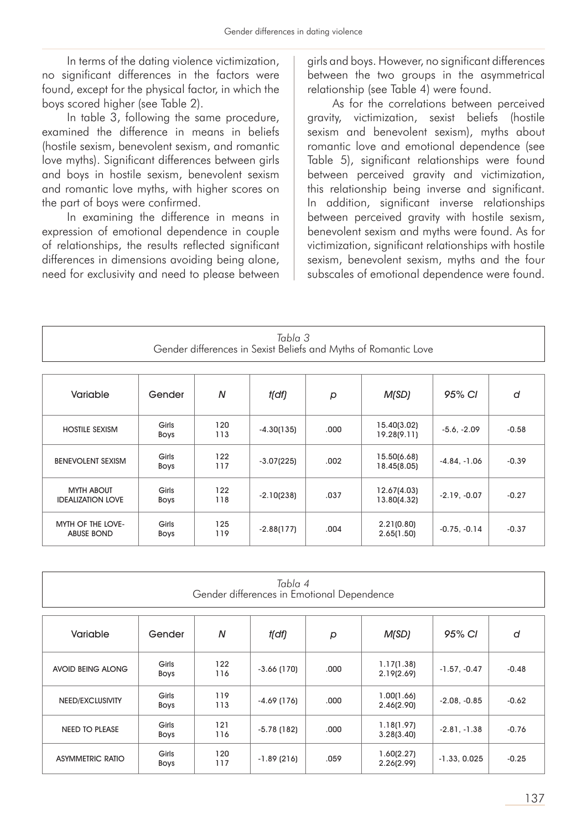In terms of the dating violence victimization, no significant differences in the factors were found, except for the physical factor, in which the boys scored higher (see Table 2).

In table 3, following the same procedure, examined the difference in means in beliefs (hostile sexism, benevolent sexism, and romantic love myths). Significant differences between girls and boys in hostile sexism, benevolent sexism and romantic love myths, with higher scores on the part of boys were confirmed.

In examining the difference in means in expression of emotional dependence in couple of relationships, the results reflected significant differences in dimensions avoiding being alone, need for exclusivity and need to please between

girls and boys. However, no significant differences between the two groups in the asymmetrical relationship (see Table 4) were found.

As for the correlations between perceived gravity, victimization, sexist beliefs (hostile sexism and benevolent sexism), myths about romantic love and emotional dependence (see Table 5), significant relationships were found between perceived gravity and victimization, this relationship being inverse and significant. In addition, significant inverse relationships between perceived gravity with hostile sexism, benevolent sexism and myths were found. As for victimization, significant relationships with hostile sexism, benevolent sexism, myths and the four subscales of emotional dependence were found.

| Tabla 3                                                         |
|-----------------------------------------------------------------|
| Gender differences in Sexist Beliefs and Myths of Romantic Love |

| Variable                                      | N<br>Gender          |            | t(df)        | р    | M(SD)                      | 95% CI         | d       |
|-----------------------------------------------|----------------------|------------|--------------|------|----------------------------|----------------|---------|
| <b>HOSTILE SEXISM</b>                         | Girls<br><b>Boys</b> | 120<br>113 | $-4.30(135)$ | .000 | 15.40(3.02)<br>19.28(9.11) | $-5.6, -2.09$  | $-0.58$ |
| <b>BENEVOLENT SEXISM</b>                      | Girls<br><b>Boys</b> | 122<br>117 | $-3.07(225)$ | .002 | 15.50(6.68)<br>18.45(8.05) | $-4.84, -1.06$ | $-0.39$ |
| <b>MYTH ABOUT</b><br><b>IDEALIZATION LOVE</b> | Girls<br><b>Boys</b> | 122<br>118 | $-2.10(238)$ | .037 | 12.67(4.03)<br>13.80(4.32) | $-2.19, -0.07$ | $-0.27$ |
| MYTH OF THE LOVE-<br><b>ABUSE BOND</b>        | Girls<br><b>Boys</b> | 125<br>119 | $-2.88(177)$ | .004 | 2.21(0.80)<br>2.65(1.50)   | $-0.75, -0.14$ | $-0.37$ |

| Tabla 4<br>Gender differences in Emotional Dependence         |                      |            |              |       |                          |                |         |  |  |  |  |
|---------------------------------------------------------------|----------------------|------------|--------------|-------|--------------------------|----------------|---------|--|--|--|--|
| N<br>95% CI<br>Variable<br>M(SD)<br>Gender<br>t(df)<br>d<br>p |                      |            |              |       |                          |                |         |  |  |  |  |
| <b>AVOID BEING ALONG</b>                                      | Girls<br><b>Boys</b> | 122<br>116 | $-3.66(170)$ | .000  | 1.17(1.38)<br>2.19(2.69) | $-1.57, -0.47$ | $-0.48$ |  |  |  |  |
| NEED/EXCLUSIVITY                                              | Girls<br><b>Boys</b> | 119<br>113 | $-4.69(176)$ | .000. | 1.00(1.66)<br>2.46(2.90) | $-2.08, -0.85$ | $-0.62$ |  |  |  |  |
| <b>NEED TO PLEASE</b>                                         | Girls<br><b>Boys</b> | 121<br>116 | $-5.78(182)$ | .000  | 1.18(1.97)<br>3.28(3.40) | $-2.81, -1.38$ | $-0.76$ |  |  |  |  |
| <b>ASYMMETRIC RATIO</b>                                       | Girls<br><b>Boys</b> | 120<br>117 | $-1.89(216)$ | .059  | 1.60(2.27)<br>2.26(2.99) | $-1.33, 0.025$ | $-0.25$ |  |  |  |  |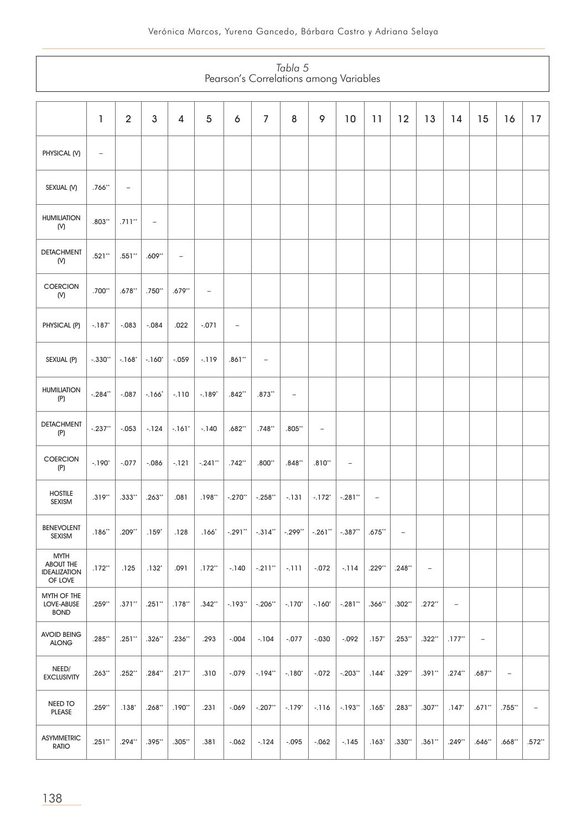| Tabla 5<br>Pearson's Correlations among Variables                 |                   |                   |                          |                          |                   |                   |                   |                     |                          |                   |                   |                   |                          |                          |                          |                          |                |
|-------------------------------------------------------------------|-------------------|-------------------|--------------------------|--------------------------|-------------------|-------------------|-------------------|---------------------|--------------------------|-------------------|-------------------|-------------------|--------------------------|--------------------------|--------------------------|--------------------------|----------------|
|                                                                   | 1                 | $\overline{2}$    | 3                        | 4                        | 5                 | 6                 | $\overline{7}$    | 8                   | 9                        | 10                | 11                | 12                | 13                       | 14                       | 15                       | 16                       | 17             |
| PHYSICAL (V)                                                      | $\qquad \qquad -$ |                   |                          |                          |                   |                   |                   |                     |                          |                   |                   |                   |                          |                          |                          |                          |                |
| SEXUAL (V)                                                        | $.766**$          | $\qquad \qquad -$ |                          |                          |                   |                   |                   |                     |                          |                   |                   |                   |                          |                          |                          |                          |                |
| <b>HUMILIATION</b><br>(N)                                         | $.803**$          | $.711**$          | $\overline{\phantom{a}}$ |                          |                   |                   |                   |                     |                          |                   |                   |                   |                          |                          |                          |                          |                |
| <b>DETACHMENT</b><br>(N)                                          | $.521**$          | $.551**$          | $.609**$                 | $\overline{\phantom{0}}$ |                   |                   |                   |                     |                          |                   |                   |                   |                          |                          |                          |                          |                |
| <b>COERCION</b><br>(N)                                            | $.700**$          | $.678**$          | $.750**$                 | $.679**$                 | $\qquad \qquad -$ |                   |                   |                     |                          |                   |                   |                   |                          |                          |                          |                          |                |
| PHYSICAL (P)                                                      | $-187$            | $-.083$           | $-.084$                  | .022                     | $-.071$           | $\qquad \qquad -$ |                   |                     |                          |                   |                   |                   |                          |                          |                          |                          |                |
| SEXUAL (P)                                                        | $-.330**$         | $-168^*$          | $-160^*$                 | $-.059$                  | $-119$            | $.861**$          | $\qquad \qquad -$ |                     |                          |                   |                   |                   |                          |                          |                          |                          |                |
| <b>HUMILIATION</b><br>(P)                                         | $-.284**$         | $-.087$           | $-166"$                  | $-.110$                  | $-.189*$          | $.842**$          | $.873**$          | $\qquad \qquad -$   |                          |                   |                   |                   |                          |                          |                          |                          |                |
| <b>DETACHMENT</b><br>(P)                                          | $-.237**$         | $-.053$           | $-124$                   | $-.161"$                 | $-140$            | $.682**$          | $.748**$          | $.805**$            | $\overline{\phantom{0}}$ |                   |                   |                   |                          |                          |                          |                          |                |
| COERCION<br>(P)                                                   | $-190^*$          | $-.077$           | $-0.086$                 | $-121$                   | $-.241**$         | $.742**$          | $.800**$          | $.848**$            | $.810**$                 | $\qquad \qquad -$ |                   |                   |                          |                          |                          |                          |                |
| <b>HOSTILE</b><br><b>SEXISM</b>                                   | $.319**$          | $.333**$          | $.263**$                 | .081                     | $.198**$          | $-.270"$          | $-.258**$         | $-131$              | $-.172*$                 | $-.281**$         | $\qquad \qquad -$ |                   |                          |                          |                          |                          |                |
| <b>BENEVOLENT</b><br><b>SEXISM</b>                                | $.186**$          | $.209**$          | $.159*$                  | .128                     | $.166*$           | $-.291**$         | $-.314"$          | $-.299"$            | $-.261"$                 | $-.387**$         | $.675**$          | $\qquad \qquad -$ |                          |                          |                          |                          |                |
| <b>MYTH</b><br><b>ABOUT THE</b><br><b>IDEALIZATION</b><br>OF LOVE | $.172**$          | .125              | $.132*$                  | .091                     | $.172**$          | $-140$            | $-.211**$         | $-111$              | $-.072$                  | $-114$            | .229**            | .248**            | $\overline{\phantom{a}}$ |                          |                          |                          |                |
| MYTH OF THE<br>LOVE-ABUSE<br><b>BOND</b>                          | $.259**$          | $.371**$          | $.251**$                 | $.178**$                 | $.342**$          | $-193"$           | $-.206**$         | $-170^*$            | $-.160"$                 | $-.281**$         | $.366**$          | $.302**$          | $.272**$                 | $\overline{\phantom{m}}$ |                          |                          |                |
| <b>AVOID BEING</b><br><b>ALONG</b>                                | $.285**$          | $.251**$          | $.326**$                 | $.236**$                 | .293              | $-.004$           | $-104$            | $-.077$             | $-.030$                  | $-0.092$          | $.157*$           | $.253**$          | $.322**$                 | $.177**$                 | $\overline{\phantom{a}}$ |                          |                |
| NEED/<br><b>EXCLUSIVITY</b>                                       | $.263**$          | $.252**$          | .284**                   | $.217**$                 | .310              | $-.079$           | $-194**$          | $-180^*$            | $-.072$                  | $-.203"$          | $.144*$           | .329**            | $.391**$                 | $.274**$                 | $.687**$                 | $\overline{\phantom{a}}$ |                |
| NEED TO<br><b>PLEASE</b>                                          | $.259**$          | .138'             | .268**                   | .190**                   | .231              | $-0.069$          | $-.207**$         | $-179$ <sup>*</sup> | $-116$                   | $-193"$           | $.165^*$          | .283**            | $.307**$                 | $.147*$                  | $.671**$                 | .755**                   | $\overline{a}$ |
| <b>ASYMMETRIC</b><br><b>RATIO</b>                                 | $.251**$          | $.294**$          | .395**                   | .305**                   | .381              | $-0.062$          | $-124$            | $-.095$             | $-0.062$                 | $-145$            | $.163*$           | .330**            | $.361**$                 | $.249**$                 | $.646**$                 | .668**                   | $.572**$       |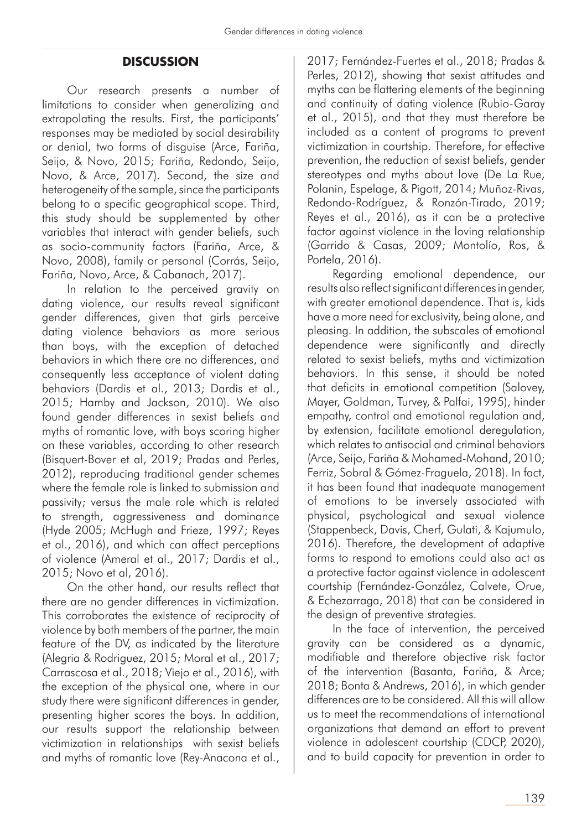#### **DISCUSSION**

Our research presents a number of limitations to consider when generalizing and extrapolating the results. First, the participants' responses may be mediated by social desirability or denial, two forms of disguise (Arce, Fariña, Seijo, & Novo, 2015; Fariña, Redondo, Seijo, Novo, & Arce, 2017). Second, the size and heterogeneity of the sample, since the participants belong to a specific geographical scope. Third, this study should be supplemented by other variables that interact with gender beliefs, such as socio-community factors (Fariña, Arce, & Novo, 2008), family or personal (Corrás, Seijo, Fariña, Novo, Arce, & Cabanach, 2017).

In relation to the perceived gravity on dating violence, our results reveal significant gender differences, given that girls perceive dating violence behaviors as more serious than boys, with the exception of detached behaviors in which there are no differences, and consequently less acceptance of violent dating behaviors (Dardis et al., 2013; Dardis et al., 2015; Hamby and Jackson, 2010). We also found gender differences in sexist beliefs and myths of romantic love, with boys scoring higher on these variables, according to other research (Bisquert-Bover et al, 2019; Pradas and Perles, 2012), reproducing traditional gender schemes where the female role is linked to submission and passivity; versus the male role which is related to strength, aggressiveness and dominance (Hyde 2005; McHugh and Frieze, 1997; Reyes et al., 2016), and which can affect perceptions of violence (Ameral et al., 2017; Dardis et al., 2015; Novo et al, 2016).

On the other hand, our results reflect that there are no gender differences in victimization. This corroborates the existence of reciprocity of violence by both members of the partner, the main feature of the DV, as indicated by the literature (Alegria & Rodriguez, 2015; Moral et al., 2017; Carrascosa et al., 2018; Viejo et al., 2016), with the exception of the physical one, where in our study there were significant differences in gender, presenting higher scores the boys. In addition, our results support the relationship between victimization in relationships with sexist beliefs and myths of romantic love (Rey-Anacona et al.,

2017; Fernández-Fuertes et al., 2018; Pradas & Perles, 2012), showing that sexist attitudes and myths can be flattering elements of the beginning and continuity of dating violence (Rubio-Garay et al., 2015), and that they must therefore be included as a content of programs to prevent victimization in courtship. Therefore, for effective prevention, the reduction of sexist beliefs, gender stereotypes and myths about love (De La Rue, Polanin, Espelage, & Pigott, 2014; Muñoz-Rivas, Redondo-Rodríguez, & Ronzón-Tirado, 2019; Reyes et al., 2016), as it can be a protective factor against violence in the loving relationship (Garrido & Casas, 2009; Montolío, Ros, & Portela, 2016).

Regarding emotional dependence, our results also reflect significant differences in gender, with greater emotional dependence. That is, kids have a more need for exclusivity, being alone, and pleasing. In addition, the subscales of emotional dependence were significantly and directly related to sexist beliefs, myths and victimization behaviors. In this sense, it should be noted that deficits in emotional competition (Salovey, Mayer, Goldman, Turvey, & Palfai, 1995), hinder empathy, control and emotional regulation and, by extension, facilitate emotional deregulation, which relates to antisocial and criminal behaviors (Arce, Seijo, Fariña & Mohamed-Mohand, 2010; Ferriz, Sobral & Gómez-Fraguela, 2018). In fact, it has been found that inadequate management of emotions to be inversely associated with physical, psychological and sexual violence (Stappenbeck, Davis, Cherf, Gulati, & Kajumulo, 2016). Therefore, the development of adaptive forms to respond to emotions could also act as a protective factor against violence in adolescent courtship (Fernández-González, Calvete, Orue, & Echezarraga, 2018) that can be considered in the design of preventive strategies.

In the face of intervention, the perceived gravity can be considered as a dynamic, modifiable and therefore objective risk factor of the intervention (Basanta, Fariña, & Arce; 2018; Bonta & Andrews, 2016), in which gender differences are to be considered. All this will allow us to meet the recommendations of international organizations that demand an effort to prevent violence in adolescent courtship (CDCP, 2020), and to build capacity for prevention in order to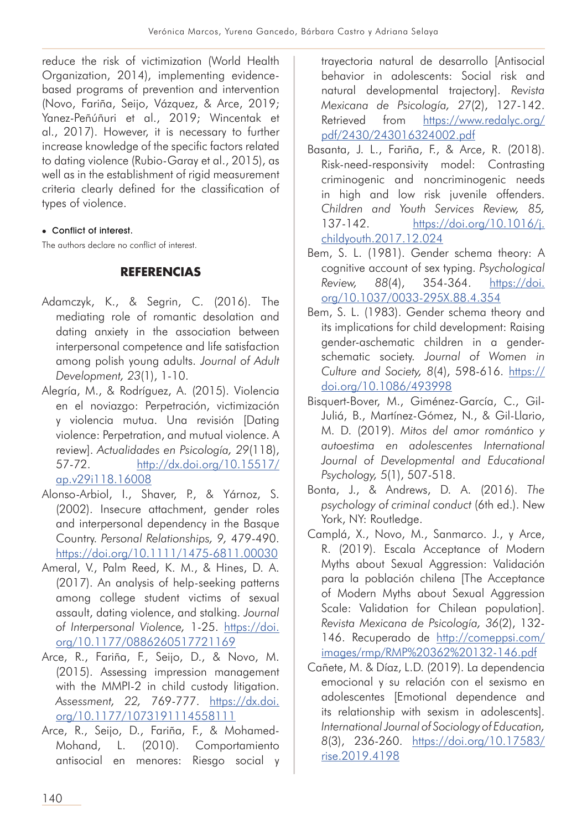reduce the risk of victimization (World Health Organization, 2014), implementing evidencebased programs of prevention and intervention (Novo, Fariña, Seijo, Vázquez, & Arce, 2019; Yanez-Peñúñuri et al., 2019; Wincentak et al., 2017). However, it is necessary to further increase knowledge of the specific factors related to dating violence (Rubio-Garay et al., 2015), as well as in the establishment of rigid measurement criteria clearly defined for the classification of types of violence.

#### • Conflict of interest.

The authors declare no conflict of interest.

## **REFERENCIAS**

- Adamczyk, K., & Segrin, C. (2016). The mediating role of romantic desolation and dating anxiety in the association between interpersonal competence and life satisfaction among polish young adults. *Journal of Adult Development, 23*(1), 1-10.
- Alegría, M., & Rodríguez, A. (2015). Violencia en el noviazgo: Perpetración, victimización y violencia mutua. Una revisión [Dating violence: Perpetration, and mutual violence. A review]. *Actualidades en Psicología, 29*(118), 57-72. http://dx.doi.org/10.15517/ ap.v29i118.16008
- Alonso-Arbiol, I., Shaver, P., & Yárnoz, S. (2002). Insecure attachment, gender roles and interpersonal dependency in the Basque Country. *Personal Relationships, 9,* 479-490. https://doi.org/10.1111/1475-6811.00030
- Ameral, V., Palm Reed, K. M., & Hines, D. A. (2017). An analysis of help-seeking patterns among college student victims of sexual assault, dating violence, and stalking. *Journal of Interpersonal Violence,* 1-25. https://doi. org/10.1177/0886260517721169
- Arce, R., Fariña, F., Seijo, D., & Novo, M. (2015). Assessing impression management with the MMPI-2 in child custody litigation. *Assessment, 22,* 769-777. https://dx.doi. org/10.1177/1073191114558111
- Arce, R., Seijo, D., Fariña, F., & Mohamed-Mohand, L. (2010). Comportamiento antisocial en menores: Riesgo social y

trayectoria natural de desarrollo [Antisocial behavior in adolescents: Social risk and natural developmental trajectory]. *Revista Mexicana de Psicología, 27*(2), 127-142. Retrieved from https://www.redalyc.org/ pdf/2430/243016324002.pdf

- Basanta, J. L., Fariña, F., & Arce, R. (2018). Risk-need-responsivity model: Contrasting criminogenic and noncriminogenic needs in high and low risk juvenile offenders. *Children and Youth Services Review, 85,*  137-142. https://doi.org/10.1016/j. childyouth.2017.12.024
- Bem, S. L. (1981). Gender schema theory: A cognitive account of sex typing. *Psychological Review, 88(4), 354-364.* https://doi. org/10.1037/0033-295X.88.4.354
- Bem, S. L. (1983). Gender schema theory and its implications for child development: Raising gender-aschematic children in a genderschematic society. *Journal of Women in Culture and Society, 8*(4), 598-616. https:// doi.org/10.1086/493998
- Bisquert-Bover, M., Giménez-García, C., Gil-Juliá, B., Martínez-Gómez, N., & Gil-Llario, M. D. (2019). *Mitos del amor romántico y autoestima en adolescentes International Journal of Developmental and Educational Psychology, 5*(1), 507-518.
- Bonta, J., & Andrews, D. A. (2016). *The psychology of criminal conduct* (6th ed.). New York, NY: Routledge.
- Camplá, X., Novo, M., Sanmarco. J., y Arce, R. (2019). Escala Acceptance of Modern Myths about Sexual Aggression: Validación para la población chilena [The Acceptance of Modern Myths about Sexual Aggression Scale: Validation for Chilean population]. *Revista Mexicana de Psicología, 36*(2), 132- 146. Recuperado de http://comeppsi.com/ images/rmp/RMP%20362%20132-146.pdf
- Cañete, M. & Díaz, L.D. (2019). La dependencia emocional y su relación con el sexismo en adolescentes [Emotional dependence and its relationship with sexism in adolescents]. *International Journal of Sociology of Education, 8*(3), 236-260. https://doi.org/10.17583/ rise.2019.4198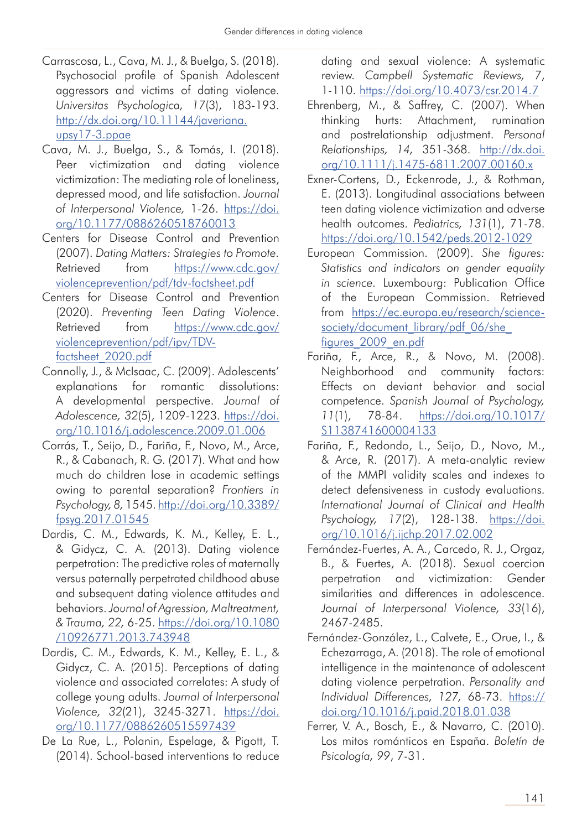- Carrascosa, L., Cava, M. J., & Buelga, S. (2018). Psychosocial profile of Spanish Adolescent aggressors and victims of dating violence. *Universitas Psychologica, 17*(3), 183-193. http://dx.doi.org/10.11144/javeriana. upsy17-3.ppae
- Cava, M. J., Buelga, S., & Tomás, I. (2018). Peer victimization and dating violence victimization: The mediating role of loneliness, depressed mood, and life satisfaction. *Journal of Interpersonal Violence,* 1-26. https://doi. org/10.1177/0886260518760013
- Centers for Disease Control and Prevention (2007). *Dating Matters: Strategies to Promote.* Retrieved from https://www.cdc.gov/ violenceprevention/pdf/tdv-factsheet.pdf
- Centers for Disease Control and Prevention (2020). *Preventing Teen Dating Violence*. Retrieved from https://www.cdc.gov/ violenceprevention/pdf/ipv/TDVfactsheet\_2020.pdf
- Connolly, J., & McIsaac, C. (2009). Adolescents' explanations for romantic dissolutions: A developmental perspective. *Journal of Adolescence, 32*(5), 1209-1223. https://doi. org/10.1016/j.adolescence.2009.01.006
- Corrás, T., Seijo, D., Fariña, F., Novo, M., Arce, R., & Cabanach, R. G. (2017). What and how much do children lose in academic settings owing to parental separation? *Frontiers in Psychology, 8,* 1545. http://doi.org/10.3389/ fpsyg.2017.01545
- Dardis, C. M., Edwards, K. M., Kelley, E. L., & Gidycz, C. A. (2013). Dating violence perpetration: The predictive roles of maternally versus paternally perpetrated childhood abuse and subsequent dating violence attitudes and behaviors. *Journal of Agression, Maltreatment, & Trauma, 22,* 6-25. https://doi.org/10.1080 /10926771.2013.743948
- Dardis, C. M., Edwards, K. M., Kelley, E. L., & Gidycz, C. A. (2015). Perceptions of dating violence and associated correlates: A study of college young adults. *Journal of Interpersonal Violence, 32*(21), 3245-3271. https://doi. org/10.1177/0886260515597439
- De La Rue, L., Polanin, Espelage, & Pigott, T. (2014). School-based interventions to reduce

dating and sexual violence: A systematic review. *Campbell Systematic Reviews, 7*, 1-110. https://doi.org/10.4073/csr.2014.7

- Ehrenberg, M., & Saffrey, C. (2007). When thinking hurts: Attachment, rumination and postrelationship adjustment. *Personal Relationships, 14,* 351-368. http://dx.doi. org/10.1111/j.1475-6811.2007.00160.x
- Exner-Cortens, D., Eckenrode, J., & Rothman, E. (2013). Longitudinal associations between teen dating violence victimization and adverse health outcomes. *Pediatrics, 131*(1), 71-78. https://doi.org/10.1542/peds.2012-1029
- European Commission. (2009). *She figures: Statistics and indicators on gender equality in science.* Luxembourg: Publication Office of the European Commission. Retrieved from https://ec.europa.eu/research/sciencesociety/document\_library/pdf\_06/she figures\_2009\_en.pdf
- Fariña, F., Arce, R., & Novo, M. (2008). Neighborhood and community factors: Effects on deviant behavior and social competence. *Spanish Journal of Psychology, 11*(1), 78-84. https://doi.org/10.1017/ S1138741600004133
- Fariña, F., Redondo, L., Seijo, D., Novo, M., & Arce, R. (2017). A meta-analytic review of the MMPI validity scales and indexes to detect defensiveness in custody evaluations. *International Journal of Clinical and Health Psychology, 17*(2), 128-138. https://doi. org/10.1016/j.ijchp.2017.02.002
- Fernández-Fuertes, A. A., Carcedo, R. J., Orgaz, B., & Fuertes, A. (2018). Sexual coercion perpetration and victimization: Gender similarities and differences in adolescence. *Journal of Interpersonal Violence, 33*(16), 2467-2485.
- Fernández-González, L., Calvete, E., Orue, I., & Echezarraga, A. (2018). The role of emotional intelligence in the maintenance of adolescent dating violence perpetration. *Personality and Individual Differences, 127,* 68-73. https:// doi.org/10.1016/j.paid.2018.01.038
- Ferrer, V. A., Bosch, E., & Navarro, C. (2010). Los mitos románticos en España. *Boletín de Psicología, 99*, 7-31.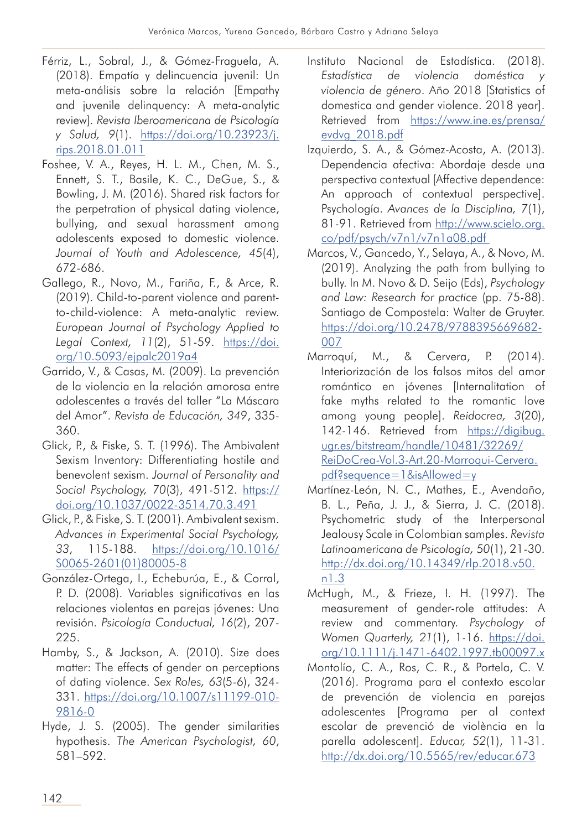- Férriz, L., Sobral, J., & Gómez-Fraguela, A. (2018). Empatía y delincuencia juvenil: Un meta-análisis sobre la relación [Empathy and juvenile delinquency: A meta-analytic review]. *Revista Iberoamericana de Psicología y Salud, 9*(1). https://doi.org/10.23923/j. rips.2018.01.011
- Foshee, V. A., Reyes, H. L. M., Chen, M. S., Ennett, S. T., Basile, K. C., DeGue, S., & Bowling, J. M. (2016). Shared risk factors for the perpetration of physical dating violence, bullying, and sexual harassment among adolescents exposed to domestic violence. *Journal of Youth and Adolescence, 45*(4), 672-686.
- Gallego, R., Novo, M., Fariña, F., & Arce, R. (2019). Child-to-parent violence and parentto-child-violence: A meta-analytic review. *European Journal of Psychology Applied to Legal Context, 11*(2), 51-59. https://doi. org/10.5093/ejpalc2019a4
- Garrido, V., & Casas, M. (2009). La prevención de la violencia en la relación amorosa entre adolescentes a través del taller "La Máscara del Amor". *Revista de Educación, 349*, 335- 360.
- Glick, P., & Fiske, S. T. (1996). The Ambivalent Sexism Inventory: Differentiating hostile and benevolent sexism. *Journal of Personality and Social Psychology, 70*(3), 491-512. https:// doi.org/10.1037/0022-3514.70.3.491
- Glick, P., & Fiske, S. T. (2001). Ambivalent sexism. *Advances in Experimental Social Psychology, 33*, 115-188. https://doi.org/10.1016/ S0065-2601(01)80005-8
- González-Ortega, I., Echeburúa, E., & Corral, P. D. (2008). Variables significativas en las relaciones violentas en parejas jóvenes: Una revisión. *Psicología Conductual, 16*(2), 207- 225.
- Hamby, S., & Jackson, A. (2010). Size does matter: The effects of gender on perceptions of dating violence. *Sex Roles, 63*(5-6), 324- 331. https://doi.org/10.1007/s11199-010- 9816-0
- Hyde, J. S. (2005). The gender similarities hypothesis. *The American Psychologist, 60*, 581–592.
- Instituto Nacional de Estadística. (2018). *Estadística de violencia doméstica y violencia de género*. Año 2018 [Statistics of domestica and gender violence. 2018 year]. Retrieved from https://www.ine.es/prensa/ evdvg\_2018.pdf
- Izquierdo, S. A., & Gómez-Acosta, A. (2013). Dependencia afectiva: Abordaje desde una perspectiva contextual [Affective dependence: An approach of contextual perspective]. Psychología. *Avances de la Disciplina, 7*(1), 81-91. Retrieved from http://www.scielo.org. co/pdf/psych/v7n1/v7n1a08.pdf
- Marcos, V., Gancedo, Y., Selaya, A., & Novo, M. (2019). Analyzing the path from bullying to bully. In M. Novo & D. Seijo (Eds), *Psychology and Law: Research for practice* (pp. 75-88). Santiago de Compostela: Walter de Gruyter. https://doi.org/10.2478/9788395669682- 007
- Marroquí, M., & Cervera, P. (2014). Interiorización de los falsos mitos del amor romántico en jóvenes [Internalitation of fake myths related to the romantic love among young people]. *Reidocrea, 3*(20), 142-146. Retrieved from https://digibug. ugr.es/bitstream/handle/10481/32269/ ReiDoCrea-Vol.3-Art.20-Marroqui-Cervera. pdf?sequence=1&isAllowed=y
- Martínez-León, N. C., Mathes, E., Avendaño, B. L., Peña, J. J., & Sierra, J. C. (2018). Psychometric study of the Interpersonal Jealousy Scale in Colombian samples. *Revista Latinoamericana de Psicología, 50*(1), 21-30. http://dx.doi.org/10.14349/rlp.2018.v50. n1.3
- McHugh, M., & Frieze, I. H. (1997). The measurement of gender-role attitudes: A review and commentary. *Psychology of Women Quarterly, 21*(1), 1-16. https://doi. org/10.1111/j.1471-6402.1997.tb00097.x
- Montolío, C. A., Ros, C. R., & Portela, C. V. (2016). Programa para el contexto escolar de prevención de violencia en parejas adolescentes [Programa per al context escolar de prevenció de violència en la parella adolescent]. *Educar, 52*(1), 11-31. http://dx.doi.org/10.5565/rev/educar.673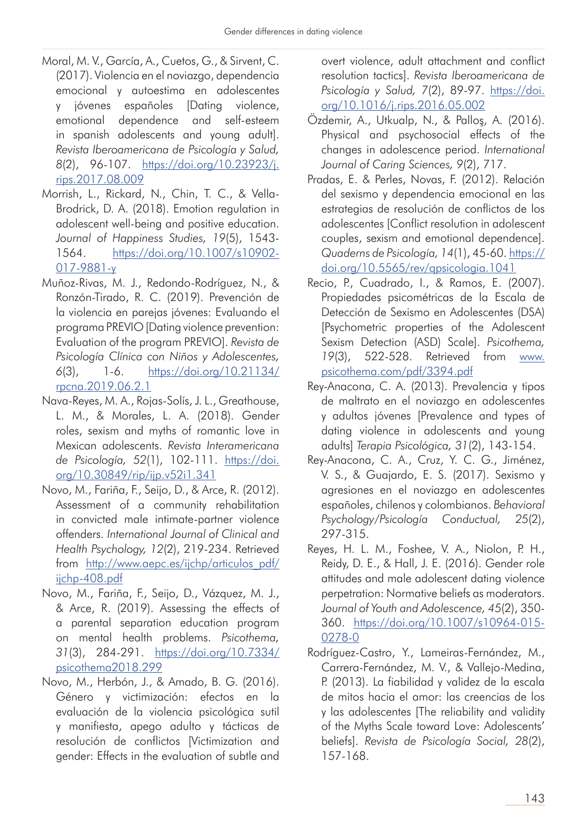- Moral, M. V., García, A., Cuetos, G., & Sirvent, C. (2017). Violencia en el noviazgo, dependencia emocional y autoestima en adolescentes y jóvenes españoles [Dating violence, emotional dependence and self-esteem in spanish adolescents and young adult]. *Revista Iberoamericana de Psicología y Salud, 8*(2), 96-107. https://doi.org/10.23923/j. rips.2017.08.009
- Morrish, L., Rickard, N., Chin, T. C., & Vella-Brodrick, D. A. (2018). Emotion regulation in adolescent well-being and positive education. *Journal of Happiness Studies, 19*(5), 1543- 1564. https://doi.org/10.1007/s10902- 017-9881-y
- Muñoz-Rivas, M. J., Redondo-Rodríguez, N., & Ronzón-Tirado, R. C. (2019). Prevención de la violencia en parejas jóvenes: Evaluando el programa PREVIO [Dating violence prevention: Evaluation of the program PREVIO]. *Revista de Psicología Clínica con Niños y Adolescentes, 6*(3), 1-6. https://doi.org/10.21134/ rpcna.2019.06.2.1
- Nava-Reyes, M. A., Rojas-Solís, J. L., Greathouse, L. M., & Morales, L. A. (2018). Gender roles, sexism and myths of romantic love in Mexican adolescents. *Revista Interamericana de Psicología, 52*(1), 102-111. https://doi. org/10.30849/rip/ijp.v52i1.341
- Novo, M., Fariña, F., Seijo, D., & Arce, R. (2012). Assessment of a community rehabilitation in convicted male intimate-partner violence offenders. *International Journal of Clinical and Health Psychology, 12*(2), 219-234. Retrieved from http://www.aepc.es/ijchp/articulos\_pdf/ ijchp-408.pdf
- Novo, M., Fariña, F., Seijo, D., Vázquez, M. J., & Arce, R. (2019). Assessing the effects of a parental separation education program on mental health problems. *Psicothema, 31*(3), 284-291. https://doi.org/10.7334/ psicothema2018.299
- Novo, M., Herbón, J., & Amado, B. G. (2016). Género y victimización: efectos en la evaluación de la violencia psicológica sutil y manifiesta, apego adulto y tácticas de resolución de conflictos [Victimization and gender: Effects in the evaluation of subtle and

overt violence, adult attachment and conflict resolution tactics]. *Revista Iberoamericana de Psicología y Salud, 7*(2), 89-97. https://doi. org/10.1016/j.rips.2016.05.002

- Özdemir, A., Utkualp, N., & Palloş, A. (2016). Physical and psychosocial effects of the changes in adolescence period. *International Journal of Caring Sciences, 9*(2), 717.
- Pradas, E. & Perles, Novas, F. (2012). Relación del sexismo y dependencia emocional en las estrategias de resolución de conflictos de los adolescentes [Conflict resolution in adolescent couples, sexism and emotional dependence]. *Quaderns de Psicología, 14*(1), 45-60. https:// doi.org/10.5565/rev/qpsicologia.1041
- Recio, P., Cuadrado, I., & Ramos, E. (2007). Propiedades psicométricas de la Escala de Detección de Sexismo en Adolescentes (DSA) [Psychometric properties of the Adolescent Sexism Detection (ASD) Scale]. *Psicothema, 19*(3), 522-528. Retrieved from www. psicothema.com/pdf/3394.pdf
- Rey-Anacona, C. A. (2013). Prevalencia y tipos de maltrato en el noviazgo en adolescentes y adultos jóvenes [Prevalence and types of dating violence in adolescents and young adults] *Terapia Psicológica, 31*(2), 143-154.
- Rey-Anacona, C. A., Cruz, Y. C. G., Jiménez, V. S., & Guajardo, E. S. (2017). Sexismo y agresiones en el noviazgo en adolescentes españoles, chilenos y colombianos. *Behavioral Psychology/Psicología Conductual, 25*(2), 297-315.
- Reyes, H. L. M., Foshee, V. A., Niolon, P. H., Reidy, D. E., & Hall, J. E. (2016). Gender role attitudes and male adolescent dating violence perpetration: Normative beliefs as moderators. *Journal of Youth and Adolescence, 45*(2), 350- 360. https://doi.org/10.1007/s10964-015- 0278-0
- Rodríguez-Castro, Y., Lameiras-Fernández, M., Carrera-Fernández, M. V., & Vallejo-Medina, P. (2013). La fiabilidad y validez de la escala de mitos hacia el amor: las creencias de los y las adolescentes [The reliability and validity of the Myths Scale toward Love: Adolescents' beliefs]. *Revista de Psicología Social, 28*(2), 157-168.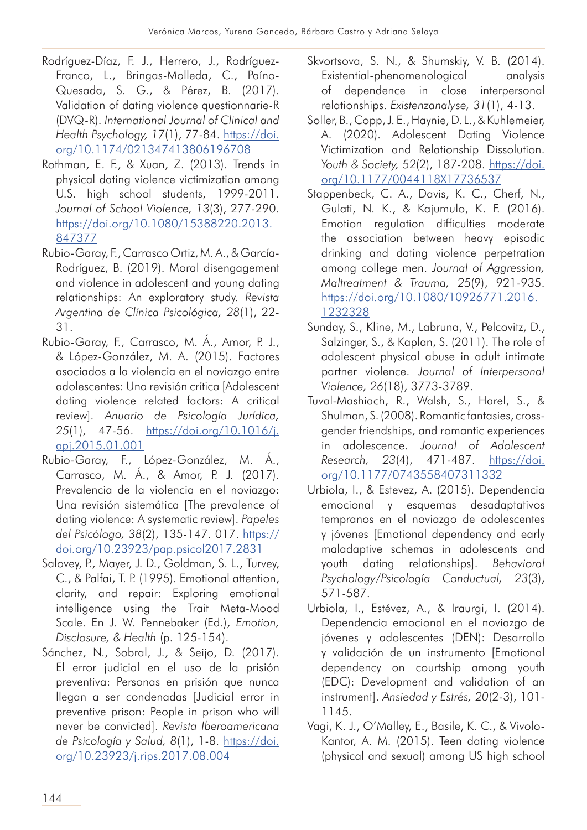- Rodríguez-Díaz, F. J., Herrero, J., Rodríguez-Franco, L., Bringas-Molleda, C., Paíno-Quesada, S. G., & Pérez, B. (2017). Validation of dating violence questionnarie-R (DVQ-R). *International Journal of Clinical and Health Psychology, 17*(1), 77-84. https://doi. org/10.1174/021347413806196708
- Rothman, E. F., & Xuan, Z. (2013). Trends in physical dating violence victimization among U.S. high school students, 1999-2011. *Journal of School Violence, 13*(3), 277-290. https://doi.org/10.1080/15388220.2013. 847377
- Rubio-Garay, F., Carrasco Ortiz, M. A., & García-Rodríguez, B. (2019). Moral disengagement and violence in adolescent and young dating relationships: An exploratory study. *Revista Argentina de Clínica Psicológica, 28*(1), 22- 31.
- Rubio-Garay, F., Carrasco, M. Á., Amor, P. J., & López-González, M. A. (2015). Factores asociados a la violencia en el noviazgo entre adolescentes: Una revisión crítica [Adolescent dating violence related factors: A critical review]. *Anuario de Psicología Jurídica, 25*(1), 47-56. https://doi.org/10.1016/j. apj.2015.01.001
- Rubio-Garay, F., López-González, M. Á., Carrasco, M. Á., & Amor, P. J. (2017). Prevalencia de la violencia en el noviazgo: Una revisión sistemática [The prevalence of dating violence: A systematic review]. *Papeles del Psicólogo, 38*(2), 135-147. 017. https:// doi.org/10.23923/pap.psicol2017.2831
- Salovey, P., Mayer, J. D., Goldman, S. L., Turvey, C., & Palfai, T. P. (1995). Emotional attention, clarity, and repair: Exploring emotional intelligence using the Trait Meta-Mood Scale. En J. W. Pennebaker (Ed.), *Emotion, Disclosure, & Health* (p. 125-154).
- Sánchez, N., Sobral, J., & Seijo, D. (2017). El error judicial en el uso de la prisión preventiva: Personas en prisión que nunca llegan a ser condenadas [Judicial error in preventive prison: People in prison who will never be convicted]. *Revista Iberoamericana de Psicología y Salud, 8*(1), 1-8. https://doi. org/10.23923/j.rips.2017.08.004
- Skvortsova, S. N., & Shumskiy, V. B. (2014). Existential-phenomenological analysis of dependence in close interpersonal relationships. *Existenzanalyse, 31*(1), 4-13.
- Soller, B., Copp, J. E., Haynie, D. L., & Kuhlemeier, A. (2020). Adolescent Dating Violence Victimization and Relationship Dissolution. *Youth & Society, 52*(2), 187-208. https://doi. org/10.1177/0044118X17736537
- Stappenbeck, C. A., Davis, K. C., Cherf, N., Gulati, N. K., & Kajumulo, K. F. (2016). Emotion regulation difficulties moderate the association between heavy episodic drinking and dating violence perpetration among college men. *Journal of Aggression, Maltreatment & Trauma, 25*(9), 921-935. https://doi.org/10.1080/10926771.2016. 1232328
- Sunday, S., Kline, M., Labruna, V., Pelcovitz, D., Salzinger, S., & Kaplan, S. (2011). The role of adolescent physical abuse in adult intimate partner violence. *Journal of Interpersonal Violence, 26*(18), 3773-3789.
- Tuval-Mashiach, R., Walsh, S., Harel, S., & Shulman, S. (2008). Romantic fantasies, crossgender friendships, and romantic experiences in adolescence. *Journal of Adolescent Research, 23*(4), 471-487. https://doi. org/10.1177/0743558407311332
- Urbiola, I., & Estevez, A. (2015). Dependencia emocional y esquemas desadaptativos tempranos en el noviazgo de adolescentes y jóvenes [Emotional dependency and early maladaptive schemas in adolescents and youth dating relationships]. *Behavioral Psychology/Psicología Conductual, 23*(3), 571-587.
- Urbiola, I., Estévez, A., & Iraurgi, I. (2014). Dependencia emocional en el noviazgo de jóvenes y adolescentes (DEN): Desarrollo y validación de un instrumento [Emotional dependency on courtship among youth (EDC): Development and validation of an instrument]. *Ansiedad y Estrés, 20*(2-3), 101- 1145.
- Vagi, K. J., O'Malley, E., Basile, K. C., & Vivolo-Kantor, A. M. (2015). Teen dating violence (physical and sexual) among US high school